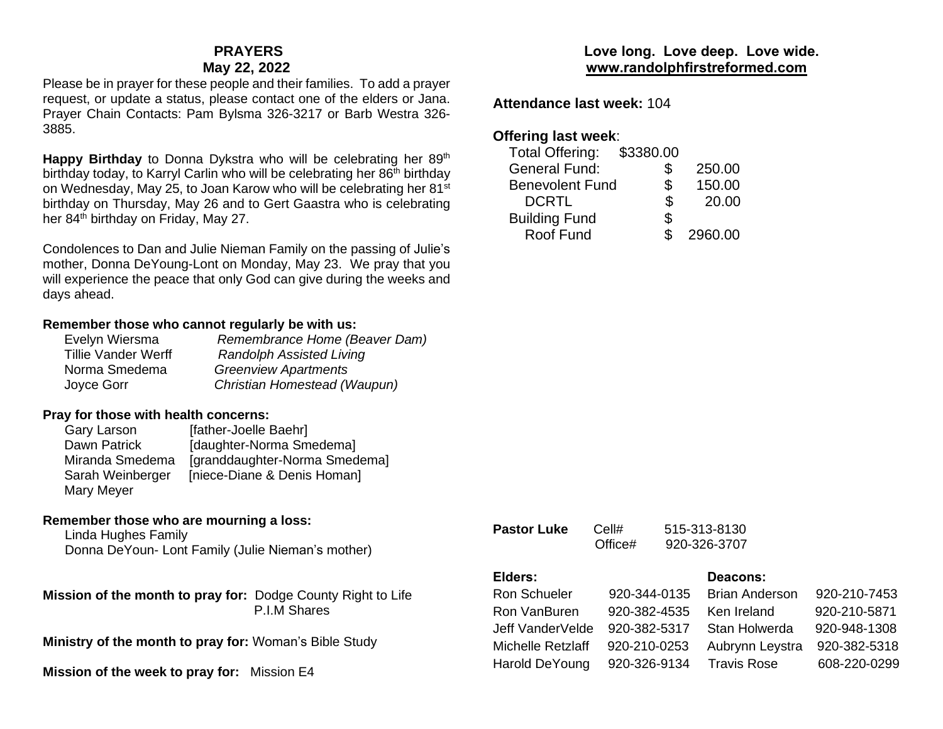#### **PRAYERS May 22, 2022**

Please be in prayer for these people and their families. To add a prayer request, or update a status, please contact one of the elders or Jana. Prayer Chain Contacts: Pam Bylsma 326-3217 or Barb Westra 326- 3885.

**Happy Birthday** to Donna Dykstra who will be celebrating her 89<sup>th</sup> birthday today, to Karryl Carlin who will be celebrating her  $86<sup>th</sup>$  birthday on Wednesday, May 25, to Joan Karow who will be celebrating her 81st birthday on Thursday, May 26 and to Gert Gaastra who is celebrating her 84<sup>th</sup> birthday on Friday, May 27.

Condolences to Dan and Julie Nieman Family on the passing of Julie's mother, Donna DeYoung-Lont on Monday, May 23. We pray that you will experience the peace that only God can give during the weeks and days ahead.

#### **Remember those who cannot regularly be with us:**

| Remembrance Home (Beaver Dam)   |
|---------------------------------|
| <b>Randolph Assisted Living</b> |
| <b>Greenview Apartments</b>     |
| Christian Homestead (Waupun)    |
|                                 |

#### **Pray for those with health concerns:**

| Gary Larson      | [father-Joelle Baehr]         |
|------------------|-------------------------------|
| Dawn Patrick     | [daughter-Norma Smedema]      |
| Miranda Smedema  | [granddaughter-Norma Smedema] |
| Sarah Weinberger | [niece-Diane & Denis Homan]   |
| Mary Meyer       |                               |

### **Remember those who are mourning a loss:**

Linda Hughes Family Donna DeYoun- Lont Family (Julie Nieman's mother)

**Mission of the month to pray for:** Dodge County Right to Life P.I.M Shares

**Ministry of the month to pray for:** Woman's Bible Study

**Mission of the week to pray for:** Mission E4

## **Love long. Love deep. Love wide. [www.randolphfirstreformed.com](http://www.randolphfirstreformed.com/)**

**Attendance last week:** 104

## **Offering last week**:

| <b>Total Offering:</b> | \$3380.00 |         |
|------------------------|-----------|---------|
| <b>General Fund:</b>   | \$        | 250.00  |
| <b>Benevolent Fund</b> | \$        | 150.00  |
| <b>DCRTL</b>           | \$        | 20.00   |
| <b>Building Fund</b>   | \$        |         |
| Roof Fund              |           | 2960.00 |
|                        |           |         |

**Pastor Luke** Cell# 515-313-8130 Office# 920-326-3707

# **Elders: Deacons:**

| Ron Schueler      | 920-344-0135 | <b>Brian Anderson</b> | 920-210-7453 |
|-------------------|--------------|-----------------------|--------------|
| Ron VanBuren      | 920-382-4535 | Ken Ireland           | 920-210-5871 |
| Jeff VanderVelde  | 920-382-5317 | Stan Holwerda         | 920-948-1308 |
| Michelle Retzlaff | 920-210-0253 | Aubrynn Leystra       | 920-382-5318 |
| Harold DeYoung    | 920-326-9134 | <b>Travis Rose</b>    | 608-220-0299 |